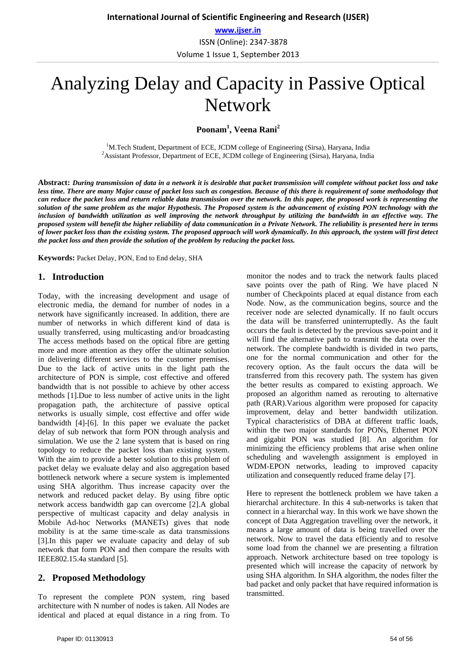**www.ijser.in** ISSN (Online): 2347-3878 Volume 1 Issue 1, September 2013

# Analyzing Delay and Capacity in Passive Optical Network

**Poonam1 , Veena Rani<sup>2</sup>**

<sup>1</sup>M.Tech Student, Department of ECE, JCDM college of Engineering (Sirsa), Haryana, India  $\frac{2}{3}$  Assistant Drafsson, Department of ECE, JCDM college of Engineering (Sirsa), Haryana, India <sup>2</sup> Assistant Professor, Department of ECE, JCDM college of Engineering (Sirsa), Haryana, India

**Abstract:** *During transmission of data in a network it is desirable that packet transmission will complete without packet loss and take less time. There are many Major cause of packet loss such as congestion. Because of this there is requirement of some methodology that can reduce the packet loss and return reliable data transmission over the network. In this paper, the proposed work is representing the solution of the same problem as the major Hypothesis. The Proposed system is the advancement of existing PON technology with the inclusion of bandwidth utilization as well improving the network throughput by utilizing the bandwidth in an effective way. The proposed system will benefit the higher reliability of data communication in a Private Network. The reliability is presented here in terms of lower packet loss than the existing system. The proposed approach will work dynamically. In this approach, the system will first detect the packet loss and then provide the solution of the problem by reducing the packet loss.*

**Keywords:** Packet Delay, PON, End to End delay, SHA

## **1. Introduction**

Today, with the increasing development and usage of electronic media, the demand for number of nodes in a network have significantly increased. In addition, there are number of networks in which different kind of data is usually transferred, using multicasting and/or broadcasting The access methods based on the optical fibre are getting more and more attention as they offer the ultimate solution in delivering different services to the customer premises. Due to the lack of active units in the light path the architecture of PON is simple, cost effective and offered bandwidth that is not possible to achieve by other access methods [1].Due to less number of active units in the light propagation path, the architecture of passive optical networks is usually simple, cost effective and offer wide bandwidth [4]-[6]. In this paper we evaluate the packet delay of sub network that form PON through analysis and simulation. We use the 2 lane system that is based on ring topology to reduce the packet loss than existing system. With the aim to provide a better solution to this problem of packet delay we evaluate delay and also aggregation based bottleneck network where a secure system is implemented using SHA algorithm. Thus increase capacity over the network and reduced packet delay. By using fibre optic network access bandwidth gap can overcome [2].A global perspective of multicast capacity and delay analysis in Mobile Ad-hoc Networks (MANETs) gives that node mobility is at the same time-scale as data transmissions [3].In this paper we evaluate capacity and delay of sub network that form PON and then compare the results with IEEE802.15.4a standard [5].

## **2. Proposed Methodology**

To represent the complete PON system, ring based architecture with N number of nodes is taken. All Nodes are identical and placed at equal distance in a ring from. To

monitor the nodes and to track the network faults placed save points over the path of Ring. We have placed N number of Checkpoints placed at equal distance from each Node. Now, as the communication begins, source and the receiver node are selected dynamically. If no fault occurs the data will be transferred uninterruptedly. As the fault occurs the fault is detected by the previous save-point and it will find the alternative path to transmit the data over the network. The complete bandwidth is divided in two parts, one for the normal communication and other for the recovery option. As the fault occurs the data will be transferred from this recovery path. The system has given the better results as compared to existing approach. We proposed an algorithm named as rerouting to alternative path (RAR).Various algorithm were proposed for capacity improvement, delay and better bandwidth utilization. Typical characteristics of DBA at different traffic loads, within the two major standards for PONs, Ethernet PON and gigabit PON was studied [8]. An algorithm for minimizing the efficiency problems that arise when online scheduling and wavelength assignment is employed in WDM-EPON networks, leading to improved capacity utilization and consequently reduced frame delay [7].

Here to represent the bottleneck problem we have taken a hierarchal architecture. In this 4 sub-networks is taken that connect in a hierarchal way. In this work we have shown the concept of Data Aggregation travelling over the network, it means a large amount of data is being travelled over the network. Now to travel the data efficiently and to resolve some load from the channel we are presenting a filtration approach. Network architecture based on tree topology is presented which will increase the capacity of network by using SHA algorithm. In SHA algorithm, the nodes filter the bad packet and only packet that have required information is transmitted.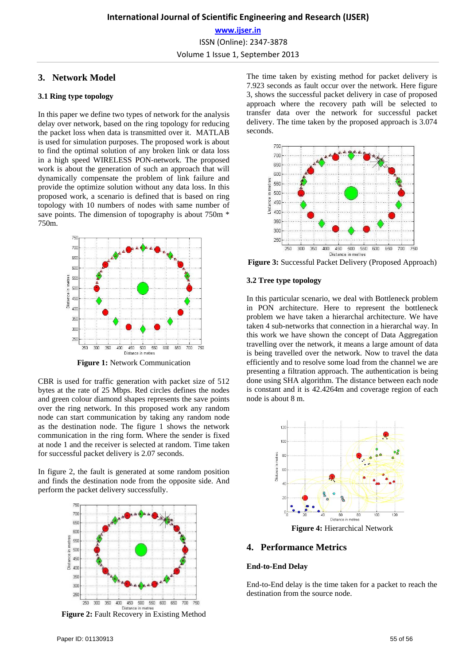# **3. Network Model**

#### **3.1 Ring type topology**

In this paper we define two types of network for the analysis delay over network, based on the ring topology for reducing the packet loss when data is transmitted over it. MATLAB is used for simulation purposes. The proposed work is about to find the optimal solution of any broken link or data loss in a high speed WIRELESS PON-network. The proposed work is about the generation of such an approach that will dynamically compensate the problem of link failure and provide the optimize solution without any data loss. In this proposed work, a scenario is defined that is based on ring topology with 10 numbers of nodes with same number of save points. The dimension of topography is about 750m  $*$ 750m.



**Figure 1:** Network Communication

CBR is used for traffic generation with packet size of 512 bytes at the rate of 25 Mbps. Red circles defines the nodes and green colour diamond shapes represents the save points over the ring network. In this proposed work any random node can start communication by taking any random node as the destination node. The figure 1 shows the network communication in the ring form. Where the sender is fixed at node 1 and the receiver is selected at random. Time taken for successful packet delivery is 2.07 seconds.

In figure 2, the fault is generated at some random position and finds the destination node from the opposite side. And perform the packet delivery successfully.



**Figure 2:** Fault Recovery in Existing Method

The time taken by existing method for packet delivery is 7.923 seconds as fault occur over the network. Here figure 3, shows the successful packet delivery in case of proposed approach where the recovery path will be selected to transfer data over the network for successful packet delivery. The time taken by the proposed approach is 3.074 seconds.



**Figure 3:** Successful Packet Delivery (Proposed Approach)

#### **3.2 Tree type topology**

In this particular scenario, we deal with Bottleneck problem in PON architecture. Here to represent the bottleneck problem we have taken a hierarchal architecture. We have taken 4 sub-networks that connection in a hierarchal way. In this work we have shown the concept of Data Aggregation travelling over the network, it means a large amount of data is being travelled over the network. Now to travel the data efficiently and to resolve some load from the channel we are presenting a filtration approach. The authentication is being done using SHA algorithm. The distance between each node is constant and it is 42.4264m and coverage region of each node is about 8 m.



**Figure 4:** Hierarchical Network

## **4. Performance Metrics**

#### **End-to-End Delay**

End-to-End delay is the time taken for a packet to reach the destination from the source node.